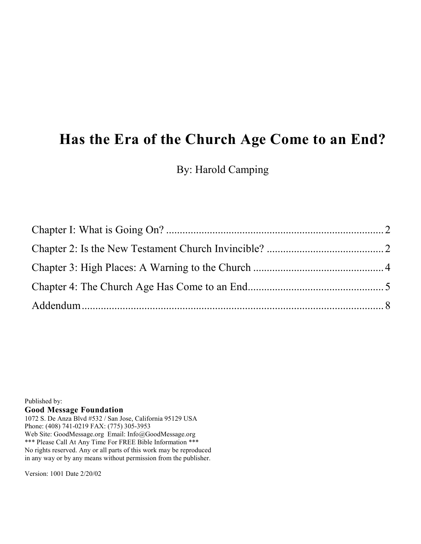# Has the Era of the Church Age Come to an End?

By: Harold Camping

Published by: Good Message Foundation 1072 S. De Anza Blvd #532 / San Jose, California 95129 USA Phone: (408) 741-0219 FAX: (775) 305-3953 Web Site: GoodMessage.org Email: Info@GoodMessage.org \*\*\* Please Call At Any Time For FREE Bible Information \*\*\* No rights reserved. Any or all parts of this work may be reproduced in any way or by any means without permission from the publisher.

Version: 1001 Date 2/20/02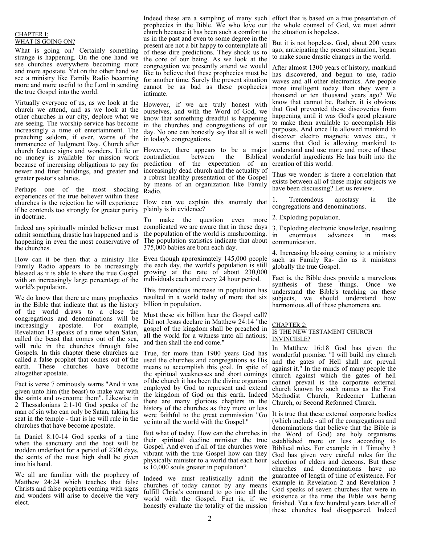## CHAPTER I: WHAT IS GOING ON?

What is going on? Certainly something strange is happening. On the one hand we see churches everywhere becoming more and more apostate. Yet on the other hand we see a ministry like Family Radio becoming more and more useful to the Lord in sending the true Gospel into the world.

Virtually everyone of us, as we look at the church we attend, and as we look at the other churches in our city, deplore what we are seeing. The worship service has become increasingly a time of entertainment. The preaching seldom, if ever, warns of the immanence of Judgment Day. Church after church feature signs and wonders. Little or no money is available for mission work because of increasing obligations to pay for newer and finer buildings, and greater and greater pastor's salaries.

Perhaps one of the most shocking experiences of the true believer within these churches is the rejection he will experience if he contends too strongly for greater purity in doctrine.

Indeed any spiritually minded believer must admit something drastic has happened and is happening in even the most conservative of the churches.

How can it be then that a ministry like Family Radio appears to be increasingly blessed as it is able to share the true Gospel with an increasingly large percentage of the world's population.

We do know that there are many prophecies in the Bible that indicate that as the history of the world draws to a close the congregations and denominations will be increasingly apostate. For example, Revelation 13 speaks of a time when Satan, called the beast that comes out of the sea, will rule in the churches through false Gospels. In this chapter these churches are called a false prophet that comes out of the earth. These churches have become These churches have become altogether apostate.

Fact is verse 7 ominously warns "And it was given unto him (the beast) to make war with the saints and overcome them". Likewise in 2 Thessalonians 2:1-10 God speaks of the man of sin who can only be Satan, taking his seat in the temple - that is he will rule in the churches that have become apostate.

In Daniel 8:10-14 God speaks of a time when the sanctuary and the host will be trodden underfoot for a period of 2300 days, the saints of the most high shall be given into his hand.

We all are familiar with the prophecy of Matthew 24:24 which teaches that false Christs and false prophets coming with signs and wonders will arise to deceive the very elect.

Indeed these are a sampling of many such prophecies in the Bible. We who love our church because it has been such a comfort to us in the past and even to some degree in the present are not a bit happy to contemplate all of these dire predictions. They shock us to the core of our being. As we look at the congregation we presently attend we would like to believe that these prophecies must be for another time. Surely the present situation cannot be as bad as these prophecies intimate.

However, if we are truly honest with ourselves, and with the Word of God, we know that something dreadful is happening in the churches and congregations of our day. No one can honestly say that all is well in today's congregations.

However, there appears to be a major contradiction between the Biblical contradiction between the Biblical prediction of the expectation of an increasingly dead church and the actuality of a robust healthy presentation of the Gospel by means of an organization like Family Radio.

How can we explain this anomaly that plainly is in evidence?

To make the question even more complicated we are aware that in these days the population of the world is mushrooming. The population statistics indicate that about 375,000 babies are born each day.

Even though approximately 145,000 people die each day, the world's population is still growing at the rate of about 230,000 individuals each and every 24 hour period.

This tremendous increase in population has resulted in a world today of more that six billion in population.

Must these six billion hear the Gospel call? Did not Jesus declare in Matthew 24:14 "the gospel of the kingdom shall be preached in all the world for a witness unto all nations; and then shall the end come."

True, for more than 1900 years God has used the churches and congregations as His means to accomplish this goal. In spite of the spiritual weaknesses and short comings of the church it has been the divine organism employed by God to represent and extend the kingdom of God on this earth. Indeed there are many glorious chapters in the history of the churches as they more or less were faithful to the great commission "Go ye into all the world with the Gospel."

But what of today. How can the churches in their spiritual decline minister the true Gospel. And even if all of the churches were vibrant with the true Gospel how can they physically minister to a world that each hour is 10,000 souls greater in population?

Indeed we must realistically admit the churches of today cannot by any means fulfill Christ's command to go into all the world with the Gospel. Fact is, if we honestly evaluate the totality of the mission

effort that is based on a true presentation of the whole counsel of God, we must admit the situation is hopeless.

But it is not hopeless. God, about 200 years ago, anticipating the present situation, began to make some drastic changes in the world.

After almost 1300 years of history, mankind has discovered, and begun to use, radio waves and all other electronics. Are people more intelligent today than they were a thousand or ten thousand years ago? We know that cannot be. Rather, it is obvious that God prevented these discoveries from happening until it was God's good pleasure to make them available to accomplish His purposes. And once He allowed mankind to discover electro magnetic waves etc., it seems that God is allowing mankind to understand and use more and more of these wonderful ingredients He has built into the creation of this world.

Thus we wonder: is there a correlation that exists between all of these major subjects we have been discussing? Let us review.

1. Tremendous apostasy in the congregations and denominations.

2. Exploding population.

3. Exploding electronic knowledge, resulting in enormous advances in mass communication.

4. Increasing blessing coming to a ministry such as Family Ra- dio as it ministers globally the true Gospel.

Fact is, the Bible does provide a marvelous synthesis of these things. Once we understand the Bible's teaching on these subjects, we should understand how harmonious all of these phenomena are.

#### CHAPTER 2:

## IS THE NEW TESTAMENT CHURCH INVINCIBLE?

In Matthew 16:18 God has given the wonderful promise. "I will build my church and the gates of Hell shall not prevail against it." In the minds of many people the church against which the gates of hell cannot prevail is the corporate external church known by such names as the First Methodist Church, Redeemer Lutheran Church, or Second Reformed Church.

It is true that these external corporate bodies (which include - all of the congregations and denominations that believe that the Bible is the Word of God) are holy organisms established more or less according to Biblical rules. For example in 1 Timothy 3 God has given very careful rules for the selection of elders and deacons. But these churches and denominations have no guarantee of length of time of existence. For example in Revelation 2 and Revelation 3 God speaks of seven churches that were in existence at the time the Bible was being finished. Yet a few hundred years later all of these churches had disappeared. Indeed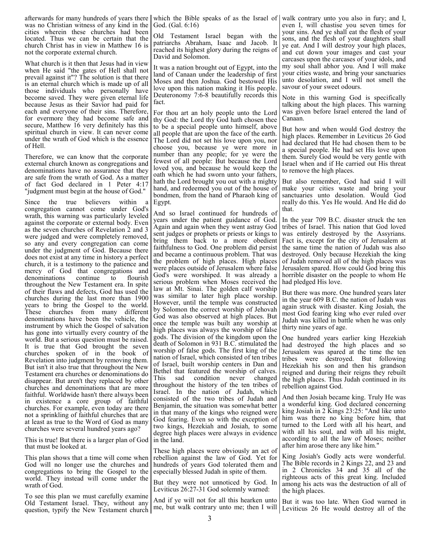afterwards for many hundreds of years there was no Christian witness of any kind in the cities wherein these churches had been located. Thus we can be certain that the church Christ has in view in Matthew 16 is not the corporate external church.

What church is it then that Jesus had in view when He said "the gates of Hell shall not prevail against it"? The solution is that there is an eternal church which is made up of all those individuals who personally have become saved. They were given eternal life because Jesus as their Savior had paid for each and everyone of their sins. Therefore, for evermore they had become safe and secure, Matthew 16 very definitely has this spiritual church in view. It can never come under the wrath of God which is the essence of Hell.

Therefore, we can know that the corporate external church known as congregations and denominations have no assurance that they are safe from the wrath of God. As a matter of fact God declared in 1 Peter 4:17 "judgment must begin at the house of God."

Since the true believers within congregation cannot come under God's wrath, this warning was particularly leveled against the corporate or external body. Even as the seven churches of Revelation 2 and 3 were judged and were completely removed, so any and every congregation can come under the judgment of God. Because there does not exist at any time in history a perfect church, it is a testimony to the patience and mercy of God that congregations and denominations continue to flourish throughout the New Testament era. In spite of their flaws and defects, God has used the churches during the last more than 1900 years to bring the Gospel to the world. These churches from many different denominations have been the vehicle, the instrument by which the Gospel of salvation has gone into virtually every country of the world. But a serious question must be raised. It is true that God brought the seven churches spoken of in the book of Revelation into judgment by removing them. But isn't it also true that throughout the New Testament era churches or denominations do disappear. But aren't they replaced by other churches and denominations that are more faithful. Worldwide hasn't there always been in existence a core group of faithful churches. For example, even today are there not a sprinkling of faithful churches that are at least as true to the Word of God as many churches were several hundred years ago?

This is true! But there is a larger plan of God that must be looked at.

This plan shows that a time will come when God will no longer use the churches and congregations to bring the Gospel to the world. They instead will come under the wrath of God.

To see this plan we must carefully examine Old Testament Israel. They, without any question, typify the New Testament church

God. (Gal. 6:16)

Old Testament Israel began with the patriarchs Abraham, Isaac and Jacob. It reached its highest glory during the reigns of David and Solomon.

It was a nation brought out of Egypt, into the land of Canaan under the leadership of first Moses and then Joshua. God bestowed His love upon this nation making it His people. Deuteronomy 7:6-8 beautifully records this fact.

For thou art an holy people unto the Lord thy God: the Lord thy God hath chosen thee to be a special people unto himself, above all people that are upon the face of the earth. The Lord did not set his love upon you, nor choose you, because ye were more in number than any people; for ye were the fewest of all people: But because the Lord loved you, and because he would keep the oath which he had sworn unto your fathers, hath the Lord brought you out with a mighty hand, and redeemed you out of the house of bondmen, from the hand of Pharaoh king of Egypt.

And so Israel continued for hundreds of years under the patient guidance of God. Again and again when they went astray God sent judges or prophets or priests or kings to bring them back to a more obedient faithfulness to God. One problem did persist and became a continuous problem. That was the problem of high places. High places were places outside of Jerusalem where false God's were worshiped. It was already a serious problem when Moses received the law at Mt. Sinai. The golden calf worship was similar to later high place worship. However, until the temple was constructed by Solomon the correct worship of Jehovah God was also observed at high places. But once the temple was built any worship at high places was always the worship of false gods. The division of the kingdom upon the death of Solomon in 931 B.C. stimulated the worship of false gods. The first king of the nation of Israel, which consisted of ten tribes of Israel, built worship centers in Dan and Bethel that featured the worship of calves. This sad condition never changed throughout the history of the ten tribes of Israel. In the nation of Judah, which consisted of the two tribes of Judah and Benjamin, the situation was somewhat better in that many of the kings who reigned were God fearing. Even so with the exception of two kings, Hezekiah and Josiah, to some degree high places were always in evidence in the land.

These high places were obviously an act of rebellion against the law of God. Yet for hundreds of years God tolerated them and especially blessed Judah in spite of them.

But they were not unnoticed by God. In Leviticus 26:27-31 God solemnly warned:

And if ye will not for all this hearken unto me, but walk contrary unto me; then I will

which the Bible speaks of as the Israel of walk contrary unto you also in fury; and I, even I, will chastise you seven times for your sins. And ye shall eat the flesh of your sons, and the flesh of your daughters shall ye eat. And I will destroy your high places, and cut down your images and cast your carcases upon the carcases of your idols, and my soul shall abhor you. And I will make your cities waste, and bring your sanctuaries unto desolation, and I will not smell the savour of your sweet odours.

> Note in this warning God is specifically talking about the high places. This warning was given before Israel entered the land of Canaan.

> But how and when would God destroy the high places. Remember in Leviticus 26 God had declared that He had chosen them to be a special people. He had set His love upon them. Surely God would be very gentle with Israel when and if He carried out His threat to remove the high places.

> But also remember, God had said I will make your cities waste and bring your sanctuaries unto desolation. Would God really do this. Yes He would. And He did do that.

> In the year 709 B.C. disaster struck the ten tribes of Israel. This nation that God loved was entirely destroyed by the Assyrians. Fact is, except for the city of Jerusalem at the same time the nation of Judah was also destroyed. Only because Hezekiah the king of Judah removed all of the high places was Jerusalem spared. How could God bring this horrible disaster on the people to whom He had pledged His love.

> But there was more. One hundred years later in the year 609 B.C. the nation of Judah was again struck with disaster. King Josiah, the most God fearing king who ever ruled over Judah was killed in battle when he was only thirty nine years of age.

> One hundred years earlier king Hezekiah had destroyed the high places and so Jerusalem was spared at the time the ten tribes were destroyed. But following Hezekiah his son and then his grandson reigned and during their reigns they rebuilt the high places. Thus Judah continued in its rebellion against God.

> And then Josiah became king. Truly He was a wonderful king. God declared concerning king Josiah in 2 Kings 23:25: "And like unto him was there no king before him, that turned to the Lord with all his heart, and with all his soul, and with all his might, according to all the law of Moses; neither after him arose there any like him."

> King Josiah's Godly acts were wonderful. The Bible records in 2 Kings 22, and 23 and in 2 Chronicles 34 and 35 all of the righteous acts of this great king. Included among his acts was the destruction of all of the high places.

> But it was too late. When God warned in Leviticus 26 He would destroy all of the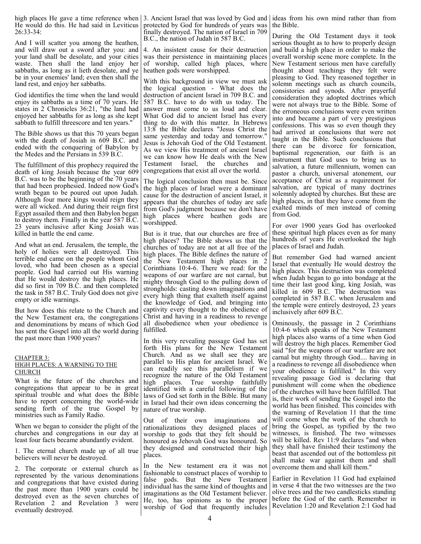high places He gave a time reference when 3. Ancient Israel that was loved by God and He would do this. He had said in Leviticus 26:33-34:

And I will scatter you among the heathen, and will draw out a sword after you: and your land shall be desolate, and your cities waste. Then shall the land enjoy her sabbaths, as long as it lieth desolate, and ye be in your enemies' land; even then shall the land rest, and enjoy her sabbaths.

God identifies the time when the land would enjoy its sabbaths as a time of 70 years. He states in 2 Chronicles 36:21, "the land had enjoyed her sabbaths for as long as she kept sabbath to fulfill threescore and ten years."

The Bible shows us that this 70 years began with the death of Josiah in 609 B.C. and ended with the conquering of Babylon by the Medes and the Persians in 539 B.C.

The fulfillment of this prophecy required the death of king Josiah because the year 609 B.C. was to be the beginning of the 70 years that had been prophesied. Indeed now God's wrath began to be poured out upon Judah. Although four more kings would reign they were all wicked. And during their reign first Egypt assailed them and then Babylon began to destroy them. Finally in the year 587 B.C. 23 years inclusive after King Josiah was killed in battle the end came.

And what an end. Jerusalem, the temple, the holy of holies were all destroyed. This terrible end came on the people whom God loved, who had been chosen as a special people. God had carried out His warning that He would destroy the high places. He did so first in 709 B.C. and then completed the task in 587 B.C. Truly God does not give empty or idle warnings.

But how does this relate to the Church and the New Testament era, the congregations and denominations by means of which God has sent the Gospel into all the world during the past more than 1900 years?

#### CHAPTER 3: HIGH PLACES: A WARNING TO THE CHURCH

What is the future of the churches and congregations that appear to be in great spiritual trouble and what does the Bible have to report concerning the world-wide sending forth of the true Gospel by ministries such as Family Radio.

When we began to consider the plight of the churches and congregations in our day at least four facts became abundantly evident.

1. The eternal church made up of all true believers will never be destroyed.

2. The corporate or external church as represented by the various denominations and congregations that have existed during the past more than 1900 years could be destroyed even as the seven churches of Revelation 2 and Revelation 3 were eventually destroyed.

protected by God for hundreds of years was finally destroyed. The nation of Israel in 709 B.C., the nation of Judah in 587 B.C.

4. An insistent cause for their destruction was their persistence in maintaining places of worship, called high places, where heathen gods were worshipped.

With this background in view we must ask the logical question - What does the destruction of ancient Israel in 709 B.C. and 587 B.C. have to do with us today. The answer must come to us loud and clear. What God did to ancient Israel has every thing to do with this matter. In Hebrews 13:8 the Bible declares "Jesus Christ the same yesterday and today and tomorrow." Jesus is Jehovah God of the Old Testament. As we view His treatment of ancient Israel we can know how He deals with the New Testament Israel, the churches and congregations that exist all over the world.

The logical conclusion then must be. Since the high places of Israel were a dominant cause for the destruction of ancient Israel, it appears that the churches of today are safe from God's judgment because we don't have high places where heathen gods are worshipped.

But is it true, that our churches are free of high places? The Bible shows us that the churches of today are not at all free of the high places. The Bible defines the nature of the New Testament high places in 2 Corinthians 10:4-6. There we read: for the weapons of our warfare are not carnal, but mighty through God to the pulling down of strongholds: casting down imaginations and every high thing that exalteth itself against the knowledge of God, and bringing into captivity every thought to the obedience of Christ and having in a readiness to revenge all disobedience when your obedience is fulfilled.

In this very revealing passage God has set forth His plans for the New Testament Church. And as we shall see they are parallel to His plan for ancient Israel. We can readily see this parallelism if we recognize the nature of the Old Testament high places. True worship faithfully identified with a careful following of the laws of God set forth in the Bible. But many in Israel had their own ideas concerning the nature of true worship.

Out of their own imaginations and rationalizations they designed places of worship to gods that they felt should be honoured as Jehovah God was honoured. So they designed and constructed their high places.

In the New testament era it was not fashionable to construct places of worship to false gods. But the New Testament individual has the same kind of thoughts and imaginations as the Old Testament believer. He, too, has opinions as to the proper worship of God that frequently includes

ideas from his own mind rather than from the Bible.

During the Old Testament days it took serious thought as to how to properly design and build a high place in order to make the overall worship scene more complete. In the New Testament serious men have carefully thought about teachings they felt were pleasing to God. They reasoned together in solemn meetings such as church councils, consistories and synods. After prayerful consideration they adopted doctrines which were not always true to the Bible. Some of the erroneous conclusions were even written into and became a part of very prestigious confessions. This was so even though they had arrived at conclusions that were not taught in the Bible. Such conclusions that there can be divorce for fornication, baptismal regeneration, our faith is an instrument that God uses to bring us to salvation, a future millennium, women can pastor a church, universal atonement, our acceptance of Christ as a requirement for salvation, are typical of many doctrines solemnly adopted by churches. But these are high places, in that they have come from the exalted minds of men instead of coming from God.

For over 1900 years God has overlooked these spiritual high places even as for many hundreds of years He overlooked the high places of Israel and Judah.

But remember God had warned ancient Israel that eventually He would destroy the high places. This destruction was completed when Judah began to go into bondage at the time their last good king, king Josiah, was killed in 609 B.C. The destruction was completed in 587 B.C. when Jerusalem and the temple were entirely destroyed, 23 years inclusively after 609 B.C.

Ominously, the passage in 2 Corinthians 10:4-6 which speaks of the New Testament high places also warns of a time when God will destroy the high places. Remember God said "for the weapons of our warfare are not carnal but mighty through God.... having in a readiness to revenge all disobedience when your obedience is fulfilled." In this very revealing passage God is declaring that punishment will come when the obedience of the churches will have been fulfilled. That is, their work of sending the Gospel into the world has been finished. This coincides with the warning of Revelation 11 that the time will come when the work of the church to bring the Gospel, as typified by the two witnesses, is finished. The two witnesses will be killed. Rev 11:9 declares "and when they shall have finished their testimony the beast that ascended out of the bottomless pit shall make war against them and shall overcome them and shall kill them."

Earlier in Revelation 11 God had explained in verse 4 that the two witnesses are the two olive trees and the two candlesticks standing before the God of the earth. Remember in Revelation 1:20 and Revelation 2:1 God had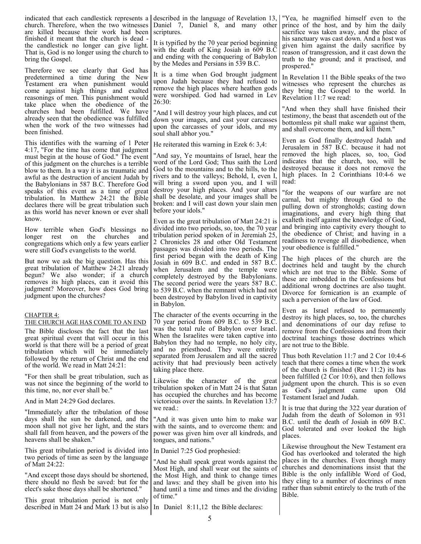indicated that each candlestick represents a described in the language of Revelation 13, church. Therefore, when the two witnesses are killed because their work had been finished it meant that the church is dead the candlestick no longer can give light. That is, God is no longer using the church to bring the Gospel.

Therefore we see clearly that God has predetermined a time during the New Testament era when punishment would come against high things and exalted reasonings of men. This punishment would take place when the obedience of the churches had been fulfilled. We have already seen that the obedience was fulfilled when the work of the two witnesses had been finished.

This identifies with the warning of 1 Peter 4:17, "For the time has come that judgment must begin at the house of God." The event of this judgment on the churches is a terrible blow to them. In a way it is as traumatic and awful as the destruction of ancient Judah by the Babylonians in 587 B.C. Therefore God speaks of this event as a time of great tribulation. In Matthew 24:21 the Bible declares there will be great tribulation such as this world has never known or ever shall know.

How terrible when God's blessings no<br>longer rest on the churches and longer rest on the churches congregations which only a few years earlier were still God's evangelists to the world.

But now we ask the big question. Has this great tribulation of Matthew 24:21 already begun? We also wonder; if a church removes its high places, can it avoid this judgment? Moreover, how does God bring judgment upon the churches?

## CHAPTER 4:

THE CHURCH AGE HAS COME TO AN END

The Bible discloses the fact that the last great spiritual event that will occur in this world is that there will be a period of great tribulation which will be immediately followed by the return of Christ and the end of the world. We read in Matt 24:21:

"For then shall be great tribulation, such as was not since the beginning of the world to this time, no, nor ever shall be."

And in Matt 24:29 God declares.

"Immediately after the tribulation of those days shall the sun be darkened, and the moon shall not give her light, and the stars shall fall from heaven, and the powers of the heavens shall be shaken."

This great tribulation period is divided into two periods of time as seen by the language of Matt 24:22:

"And except those days should be shortened, there should no flesh be saved: but for the elect's sake those days shall be shortened."

This great tribulation period is not only described in Matt 24 and Mark 13 but is also

Daniel 7, Daniel 8, and many other scriptures.

It is typified by the 70 year period beginning with the death of King Josiah in 609 B.C and ending with the conquering of Babylon by the Medes and Persians in 539 B.C.

It is a time when God brought judgment upon Judah because they had refused to remove the high places where heathen gods were worshiped. God had warned in Lev 26:30:

"And I will destroy your high places, and cut down your images, and cast your carcasses upon the carcasses of your idols, and my soul shall abhor you."

He reiterated this warning in Ezek 6: 3,4:

"And say, Ye mountains of Israel, hear the word of the Lord God; Thus saith the Lord God to the mountains and to the hills, to the rivers and to the valleys; Behold, I, even I, will bring a sword upon you, and I will destroy your high places. And your altars shall be desolate, and your images shall be broken: and I will cast down your slain men before your idols."

Even as the great tribulation of Matt 24:21 is divided into two periods, so, too, the 70 year tribulation period spoken of in Jeremiah 25, 2 Chronicles 28 and other Old Testament passages was divided into two periods. The first period began with the death of King Josiah in 609 B.C. and ended in 587 B.C. when Jerusalem and the temple were completely destroyed by the Babylonians. The second period were the years 587 B.C. to 539 B.C. when the remnant which had not been destroyed by Babylon lived in captivity in Babylon.

The character of the events occurring in the 70 year period from 609 B.C. to 539 B.C. was the total rule of Babylon over Israel. When the Israelites were taken captive into Babylon they had no temple, no holy city, and no priesthood. They were entirely separated from Jerusalem and all the sacred activity that had previously been actively taking place there.

Likewise the character of the great tribulation spoken of in Matt 24 is that Satan has occupied the churches and has become victorious over the saints. In Revelation 13:7 we read.:

"And it was given unto him to make war with the saints, and to overcome them: and power was given him over all kindreds, and tongues, and nations."

In Daniel 7:25 God prophesied:

"And he shall speak great words against the Most High, and shall wear out the saints of the Most High, and think to change times and laws: and they shall be given into his hand until a time and times and the dividing of time."

In Daniel 8:11,12 the Bible declares:

"Yea, he magnified himself even to the prince of the host, and by him the daily sacrifice was taken away, and the place of his sanctuary was cast down. And a host was given him against the daily sacrifice by reason of transgression, and it cast down the truth to the ground; and it practised, and prospered."

In Revelation 11 the Bible speaks of the two witnesses who represent the churches as they bring the Gospel to the world. In Revelation 11:7 we read:

"And when they shall have finished their testimony, the beast that ascendeth out of the bottomless pit shall make war against them, and shall overcome them, and kill them."

Even as God finally destroyed Judah and Jerusalem in 587 B.C. because it had not removed the high places, so, too, God indicates that the church, too, will be destroyed because it does not remove the high places. In 2 Corinthians 10:4-6 we read:

"for the weapons of our warfare are not carnal, but mighty through God to the pulling down of strongholds; casting down imaginations, and every high thing that exalteth itself against the knowledge of God, and bringing into captivity every thought to the obedience of Christ; and having in a readiness to revenge all disobedience, when your obedience is fulfilled."

The high places of the church are the doctrines held and taught by the church which are not true to the Bible. Some of these are imbedded in the Confessions but additional wrong doctrines are also taught. Divorce for fornication is an example of such a perversion of the law of God.

Even as Israel refused to permanently destroy its high places, so, too, the churches and denominations of our day refuse to remove from the Confessions and from their doctrinal teachings those doctrines which are not true to the Bible.

Thus both Revelation 11:7 and 2 Cor 10:4-6 teach that there comes a time when the work of the church is finished (Rev 11:2) its has been fulfilled (2 Cor 10:6), and then follows judgment upon the church. This is so even as God's judgment came upon Old Testament Israel and Judah.

It is true that during the 322 year duration of Judah from the death of Solomon in 931 B.C. until the death of Josiah in 609 B.C. God tolerated and over looked the high places.

Likewise throughout the New Testament era God has overlooked and tolerated the high places in the churches. Even though many churches and denominations insist that the Bible is the only infallible Word of God, they cling to a number of doctrines of men rather than submit entirely to the truth of the Bible.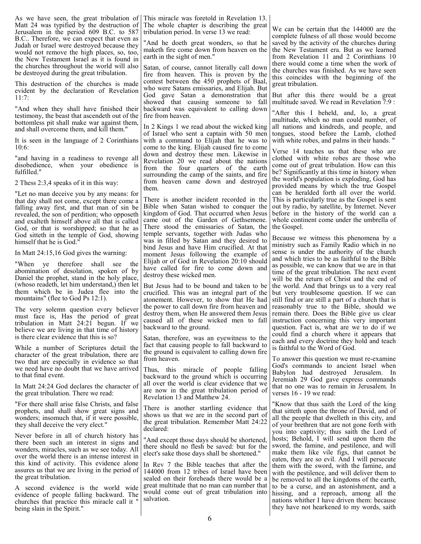Matt 24 was typified by the destruction of Jerusalem in the period 609 B.C. to 587 B.C.. Therefore, we can expect that even as Judah or Israel were destroyed because they would not remove the high places, so, too, the New Testament Israel as it is found in the churches throughout the world will also be destroyed during the great tribulation.

This destruction of the churches is made evident by the declaration of Revelation 11:7:

"And when they shall have finished their testimony, the beast that ascendeth out of the bottomless pit shall make war against them, and shall overcome them, and kill them."

It is seen in the language of 2 Corinthians 10:6:

"and having in a readiness to revenge all disobedience, when your obedience is fulfilled."

2 Thess 2:3,4 speaks of it in this way:

"Let no man deceive you by any means: for that day shall not come, except there come a falling away first, and that man of sin be revealed, the son of perdition; who opposeth and exalteth himself above all that is called God, or that is worshipped; so that he as God sitteth in the temple of God, showing himself that he is God."

In Matt 24:15,16 God gives the warning:

"When ye therefore shall see the abomination of desolation, spoken of by Daniel the prophet, stand in the holy place, (whoso readeth, let him understand,) then let them which be in Judea flee into the mountains" (flee to God Ps 12:1).

The very solemn question every believer must face is, Has the period of great tribulation in Matt 24:21 begun. If we believe we are living in that time of history is there clear evidence that this is so?

While a number of Scriptures detail the character of the great tribulation, there are two that are especially in evidence so that we need have no doubt that we have arrived to that final event.

In Matt 24:24 God declares the character of the great tribulation. There we read:

"For there shall arise false Christs, and false prophets, and shall show great signs and wonders; insomuch that, if it were possible, they shall deceive the very elect."

Never before in all of church history has there been such an interest in signs and wonders, miracles, such as we see today. All over the world there is an intense interest in this kind of activity. This evidence alone assures us that we are living in the period of the great tribulation.

A second evidence is the world wide evidence of people falling backward. The churches that practice this miracle call it " being slain in the Spirit."

As we have seen, the great tribulation of This miracle was foretold in Revelation 13. The whole chapter is describing the great tribulation period. In verse 13 we read:

> "And he doeth great wonders, so that he maketh fire come down from heaven on the earth in the sight of men."

Satan, of course, cannot literally call down fire from heaven. This is proven by the contest between the 450 prophets of Baal, who were Satans emissaries, and Elijah. But God gave Satan a demonstration that showed that causing someone to fall backward was equivalent to calling down fire from heaven.

In 2 Kings 1 we read about the wicked king of Israel who sent a captain with 50 men with a command to Elijah that he was to come to the king. Elijah caused fire to come down and destroy these men. Likewise in Revelation 20 we read about the nations from the four quarters of the earth surrounding the camp of the saints, and fire from heaven came down and destroyed them.

There is another incident recorded in the Bible when Satan wished to conquer the kingdom of God. That occurred when Jesus came out of the Garden of Gethsemene. There stood the emissaries of Satan, the temple servants, together with Judas who was in filled by Satan and they desired to bind Jesus and have Him crucified. At that moment Jesus following the example of Elijah or of God in Revelation 20:10 should have called for fire to come down and destroy these wicked men.

But Jesus had to be bound and taken to be crucified. This was an integral part of the atonement. However, to show that He had the power to call down fire from heaven and destroy them, when He answered them Jesus caused all of these wicked men to fall backward to the ground.

Satan, therefore, was an eyewitness to the fact that causing people to fall backward to the ground is equivalent to calling down fire from heaven.

Thus, this miracle of people falling backward to the ground which is occurring all over the world is clear evidence that we are now in the great tribulation period of Revelation 13 and Matthew 24.

There is another startling evidence that shows us that we are in the second part of the great tribulation. Remember Matt 24:22 declared:

"And except those days should be shortened, there should no flesh be saved: but for the elect's sake those days shall be shortened."

In Rev 7 the Bible teaches that after the 144000 from 12 tribes of Israel have been sealed on their foreheads there would be a great multitude that no man can number that would come out of great tribulation into salvation.

We can be certain that the 144000 are the complete fulness of all those would become saved by the activity of the churches during the New Testament era. But as we learned from Revelation 11 and 2 Corinthians 10 there would come a time when the work of the churches was finished. As we have seen this coincides with the beginning of the great tribulation.

But after this there would be a great multitude saved. We read in Revelation  $\frac{7:9}{ }$ :

"After this I beheld, and, lo, a great multitude, which no man could number, of all nations and kindreds, and people, and tongues, stood before the Lamb, clothed with white robes, and palms in their hands. "

Verse 14 teaches us that these who are clothed with white robes are those who come out of great tribulation. How can this be? Significantly at this time in history when the world's population is exploding, God has provided means by which the true Gospel can be heralded forth all over the world. This is particularly true as the Gospel is sent out by radio, by satellite, by Internet. Never before in the history of the world can a whole continent come under the umbrella of the Gospel.

Because we witness this phenomena by a ministry such as Family Radio which in no sense is under the authority of the church and which tries to be as faithful to the Bible as possible, we can know that we are in that time of the great tribulation. The next event will be the return of Christ and the end of the world. And that brings us to a very real but very troublesome question. If we can still find or are still a part of a church that is reasonably true to the Bible, should we remain there. Does the Bible give us clear instruction concerning this very important question. Fact is, what are we to do if we could find a church where it appears that each and every doctrine they hold and teach is faithful to the Word of God.

To answer this question we must re-examine God's commands to ancient Israel when Babylon had destroyed Jerusalem. In Jeremiah 29 God gave express commands that no one was to remain in Jerusalem. In verses 16 - 19 we read:

"Know that thus saith the Lord of the king that sitteth upon the throne of David, and of all the people that dwelleth in this city, and of your brethren that are not gone forth with you into captivity; thus saith the Lord of hosts; Behold, I will send upon them the sword, the famine, and pestilence, and will make them like vile figs, that cannot be eaten, they are so evil. And I will persecute them with the sword, with the famine, and with the pestilence, and will deliver them to be removed to all the kingdoms of the earth, to be a curse, and an astonishment, and a hissing, and a reproach, among all the nations whither I have driven them: because they have not hearkened to my words, saith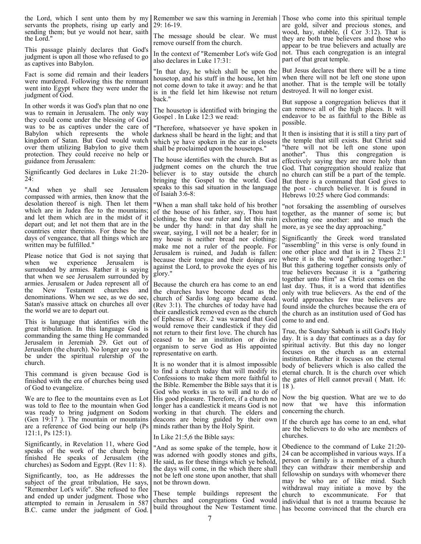| the Lord, which I sent unto them by $my \mid l$ |  |
|-------------------------------------------------|--|
| servants the prophets, rising up early and 2    |  |
| sending them; but ye would not hear, saith  .   |  |
| the Lord."                                      |  |

This passage plainly declares that God's judgment is upon all those who refused to go as captives into Babylon.

Fact is some did remain and their leaders were murdered. Following this the remnant went into Egypt where they were under the judgment of God.

In other words it was God's plan that no one was to remain in Jerusalem. The only way they could come under the blessing of God was to be as captives under the care of Babylon which represents the whole kingdom of Satan. But God would watch over them utilizing Babylon to give them protection. They could receive no help or guidance from Jerusalem:

Significantly God declares in Luke 21:20- 24:

"And when ye shall see Jerusalem compassed with armies, then know that the desolation thereof is nigh. Then let them which are in Judea flee to the mountains; and let them which are in the midst of it depart out; and let not them that are in the countries enter thereinto. For these be the days of vengeance, that all things which are written may be fulfilled."

Please notice that God is not saying that when we experience Jerusalem is surrounded by armies. Rather it is saying that when we see Jerusalem surrounded by armies. Jerusalem or Judea represent all of Testament churches and denominations. When we see, as we do see, Satan's massive attack on churches all over the world we are to depart out.

This is language that identifies with the great tribulation. In this language God is commanding the same thing He commanded Jerusalem in Jeremiah 29. Get out of Jerusalem (the church). No longer are you to be under the spiritual rulership of the church.

This command is given because God is finished with the era of churches being used of God to evangelize.

We are to flee to the mountains even as Lot was told to flee to the mountain when God was ready to bring judgment on Sodom (Gen 19:17 ). The mountain or mountains are a reference of God being our help (Ps 121:1, Ps 125:1).

Significantly, in Revelation 11, where God speaks of the work of the church being finished He speaks of Jerusalem (the churches) as Sodom and Egypt. (Rev 11: 8).

Significantly, too, as He addresses the subject of the great tribulation, He says, "Remember Lot's wife". She refused to flee and ended up under judgment. Those who attempted to remain in Jerusalem in 587 B.C. came under the judgment of God.

Remember we saw this warning in Jeremiah 29: 16-19.

The message should be clear. We must remove ourself from the church.

In the context of "Remember Lot's wife God also declares in Luke 17:31:

"In that day, he which shall be upon the housetop, and his stuff in the house, let him not come down to take it away: and he that is in the field let him likewise not return back."

The housetop is identified with bringing the Gospel . In Luke 12:3 we read:

"Therefore, whatsoever ye have spoken in darkness shall be heard in the light; and that which ye have spoken in the ear in closets shall be proclaimed upon the housetops."

The house identifies with the church. But as judgment comes on the church the true believer is to stay outside the church bringing the Gospel to the world. God speaks to this sad situation in the language of Isaiah 3:6-8:

"When a man shall take hold of his brother of the house of his father, say, Thou hast clothing, be thou our ruler and let this ruin be under thy hand: in that day shall he swear, saying, I will not be a healer; for in my house is neither bread nor clothing: make me not a ruler of the people. For Jerusalem is ruined, and Judah is fallen: because their tongue and their doings are against the Lord, to provoke the eyes of his glory."

Because the church era has come to an end the churches have become dead as the church of Sardis long ago became dead. (Rev 3:1). The churches of today have had their candlestick removed even as the church of Ephesus of Rev. 2 was warned that God would remove their candlestick if they did not return to their first love. The church has ceased to be an institution or divine organism to serve God as His appointed representative on earth.

It is no wonder that it is almost impossible to find a church today that will modify its Confessions to make them more faithful to the Bible. Remember the Bible says that it is God who works in us to will and to do of His good pleasure. Therefore, if a church no longer has a candlestick it means God is not working in that church. The elders and deacons are being guided by their own minds rather than by the Holy Spirit.

In Like 21:5,6 the Bible says:

"And as some spake of the temple, how it was adorned with goodly stones and gifts, He said, as for these things which ye behold, the days will come, in the which there shall not be left one stone upon another, that shall not be thrown down.

These temple buildings represent the churches and congregations God would build throughout the New Testament time.

Those who come into this spiritual temple are gold, silver and precious stones, and wood, hay, stubble, (I Cor 3:12). That is they are both true believers and those who appear to be true believers and actually are not. Thus each congregation is an integral part of that great temple.

But Jesus declares that there will be a time when there will not be left one stone upon another. That is the temple will be totally destroyed. It will no longer exist.

But suppose a congregation believes that it can remove all of the high places. It will endeavor to be as faithful to the Bible as possible.

It then is insisting that it is still a tiny part of the temple that still exists. But Christ said "there will not be left one stone upon another". Thus this congregation is effectively saying they are more holy than God. That congregation should realize that no church can still be a part of the temple. But there is a command that God gives to the post - church believer. It is found in Hebrews 10:25 where God commands:

"not forsaking the assembling of ourselves together, as the manner of some is; but exhorting one another: and so much the more, as ye see the day approaching."

Significantly the Greek word translated "assembling" in this verse is only found in one other place and that is in 2 Thess 2:1 where it is the word "gathering together." But this gathering together consists only of true believers because it is a "gathering together unto Him" as Christ comes on the last day. Thus, it is a word that identifies only with true believers. As the end of the world approaches few true believers are found inside the churches because the era of the church as an institution used of God has come to and end.

True, the Sunday Sabbath is still God's Holy day. It is a day that continues as a day for spiritual activity. But this day no longer focuses on the church as an external institution. Rather it focuses on the eternal body of believers which is also called the eternal church. It is the church over which the gates of Hell cannot prevail ( Matt. 16: 18 ).

Now the big question. What are we to do now that we have this information concerning the church.

If the church age has come to an end, what are the believers to do who are members of churches.

Obedience to the command of Luke 21:20- 24 can be accomplished in various ways. If a person or family is a member of a church they can withdraw their membership and fellowship on sundays with whomever there may be who are of like mind. Such withdrawal may initiate a move by the church to excommunicate. For that individual that is not a trauma because he has become convinced that the church era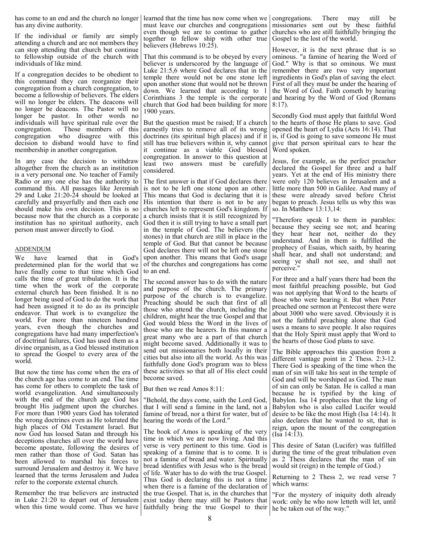has come to an end and the church no longer | learned that the time has now come when we has any divine authority.

If the individual or family are simply attending a church and are not members they can stop attending that church but continue to fellowship outside of the church with individuals of like mind.

If a congregation decides to be obedient to this command they can reorganize their congregation from a church congregation, to become a fellowship of believers. The elders will no longer be elders. The deacons will no longer be deacons. The Pastor will no longer be pastor. In other words no individuals will have spiritual rule over the congregation. Those members of this congregation who disagree with this decision to disband would have to find membership in another congregation.

In any case the decision to withdraw altogether from the church as an institution is a very personal one. No teacher of Family Radio or any one else has the authority to command this. All passages like Jeremiah 29 and Luke 21:20-24 should be looked at carefully and prayerfully and then each one should make his own decision. This is so because now that the church as a corporate institution has no spiritual authority, each person must answer directly to God.

#### ADDENDUM

We have learned that in God's predetermined plan for the world that we have finally come to that time which God calls the time of great tribulation. It is the time when the work of the corporate external church has been finished. It is no longer being used of God to do the work that had been assigned it to do as its principle endeavor. That work is to evangelize the world. For more than nineteen hundred years, even though the churches and congregations have had many imperfection's of doctrinal failures, God has used them as a divine organism, as a God blessed institution to spread the Gospel to every area of the world.

But now the time has come when the era of the church age has come to an end. The time has come for others to complete the task of world evangelization. And simultaneously with the end of the church age God has brought His judgment upon the churches. For more than 1900 years God has tolerated the wrong doctrines even as He tolerated the high places of Old Testament Israel. But now God has loosed Satan and through his deceptions churches all over the world have become apostate, following the desires of men rather than those of God. Satan has been allowed to marshal his forces to surround Jerusalem and destroy it. We have learned that the terms Jerusalem and Judea refer to the corporate external church.

Remember the true believers are instructed in Luke 21:20 to depart out of Jerusalem when this time would come. Thus we have

must leave our churches and congregations even though we are to continue to gather together to fellow ship with other true believers (Hebrews 10:25).

That this command is to be obeyed by every believer is underscored by the language of Luke 21:5,6 where God declares that in the temple there would not be one stone left upon another stone that would not be thrown down. We learned that according to 1 Corinthians 3 the temple is the corporate church that God had been building for more 1900 years.

But the question must be raised; If a church earnestly tries to remove all of its wrong doctrines (its spiritual high places) and if it still has true believers within it, why cannot it continue as a viable God blessed congregation. In answer to this question at least two answers must be carefully considered.

The first answer is that if God declares there is not to be left one stone upon an other. This means that God is declaring that it is His intention that there is not to be any churches left to represent God's kingdom. If a church insists that it is still recognized by God then it is still trying to have a small part in the temple of God. The believers (the stones) in that church are still in place in the temple of God. But that cannot be because God declares there will not be left one stone upon another. This means that God's usage of the churches and congregations has come to an end.

The second answer has to do with the nature and purpose of the church. The primary purpose of the church is to evangelize. Preaching should be such that first of all those who attend the church, including the children, might hear the true Gospel and that God would bless the Word in the lives of those who are the hearers. In this manner a great many who are a part of that church might become saved. Additionally it was to send out missionaries both locally in their cities but also into all the world. As this was faithfully done God's program was to bless these activities so that all of His elect could become saved.

But then we read Amos 8:11:

"Behold, the days come, saith the Lord God, that I will send a famine in the land, not a famine of bread, nor a thirst for water, but of hearing the words of the Lord."

The book of Amos is speaking of the very time in which we are now living. And this verse is very pertinent to this time. God is speaking of a famine that is to come. It is not a famine of bread and water. Spiritually bread identifies with Jesus who is the bread of life. Water has to do with the true Gospel. Thus God is declaring this is not a time when there is a famine of the declaration of the true Gospel. That is, in the churches that exist today there may still be Pastors that faithfully bring the true Gospel to their

congregations. There may still be missionaries sent out by these faithful churches who are still faithfully bringing the Gospel to the lost of the world.

However, it is the next phrase that is so ominous. "a famine of hearing the Word of God." Why is that so ominous. We must remember there are two very important ingredients in God's plan of saving the elect. First of all they must be under the hearing of the Word of God. Faith cometh by hearing and hearing by the Word of God (Romans 8:17).

Secondly God must apply that faithful Word to the hearts of those He plans to save. God opened the heart of Lydia (Acts 16:14). That is, if God is going to save someone He must give that person spiritual ears to hear the Word spoken.

Jesus, for example, as the perfect preacher declared the Gospel for three and a half years. Yet at the end of His ministry there were only 120 believes in Jerusalem and a little more than 500 in Galilee. And many of these were already saved before Christ began to preach. Jesus tells us why this was so. In Matthew 13:13,14:

"Therefore speak I to them in parables: because they seeing see not; and hearing they hear hear not, neither do they understand. And in them is fulfilled the prophecy of Esaias, which saith, by hearing shall hear, and shall not understand; and seeing ye shall not see, and shall not perceive.

For three and a half years there had been the most faithful preaching possible, but God was not applying that Word to the hearts of those who were hearing it. But when Peter preached one sermon at Pentecost there were about 3000 who were saved. Obviously it is not the faithful preaching alone that God uses a means to save people. It also requires that the Holy Spirit must apply that Word to the hearts of those God plans to save.

The Bible approaches this question from a different vantage point in 2 Thess. 2:3-12. There God is speaking of the time when the man of sin will take his seat in the temple of God and will be worshiped as God. The man of sin can only be Satan. He is called a man because he is typified by the king of Babylon. Isa 14 prophecies that the king of Babylon who is also called Lucifer would desire to be like the most High (Isa 14:14). It also declares that he wanted to sit, that is reign, upon the mount of the congregation (Isa 14:13).

This desire of Satan (Lucifer) was fulfilled during the time of the great tribulation even as 2 Thess declares that the man of sin would sit (reign) in the temple of God.)

Returning to 2 Thess 2, we read verse 7 which warns:

"For the mystery of iniquity doth already work: only he who now letteth will let, until he be taken out of the way."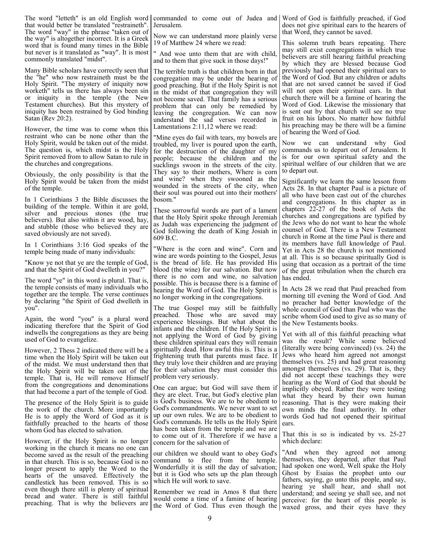The word "letteth" is an old English word that would better be translated "restraineth". The word "way" in the phrase "taken out of the way" is altogether incorrect. It is a Greek word that is found many times in the Bible but never is it translated as "way". It is most commonly translated "midst".

Many Bible scholars have correctly seen that the "he" who now restraineth must be the Holy Spirit. "The mystery of iniquity now worketh" tells us there has always been sin or iniquity in the temple (the New Testament churches). But this mystery of iniquity has been restrained by God binding Satan (Rev 20:2).

However, the time was to come when this restraint who can be none other than the Holy Spirit, would be taken out of the midst. The question is, which midst is the Holy Spirit removed from to allow Satan to rule in the churches and congregations.

Obviously, the only possibility is that the Holy Spirit would be taken from the midst of the temple.

In 1 Corinthians 3 the Bible discusses the building of the temple. Within it are gold, silver and precious stones (the true believers). But also within it are wood, hay, and stubble (those who believed they are saved obviously are not saved).

In 1 Corinthians 3:16 God speaks of the temple being made of many individuals:

"Know ye not that ye are the temple of God, and that the Spirit of God dwelleth in you?"

The word "ye" in this word is plural. That is, the temple consists of many individuals who together are the temple. The verse continues by declaring "the Spirit of God dwelleth in you".

Again, the word "you" is a plural word indicating therefore that the Spirit of God indwells the congregations as they are being used of God to evangelize.

However, 2 Thess 2 indicated there will be a time when the Holy Spirit will be taken out of the midst. We must understand then that the Holy Spirit will be taken out of the temple. That is, He will remove Himself from the congregations and denominations that had become a part of the temple of God.

The presence of the Holy Spirit is to guide the work of the church. More importantly He is to apply the Word of God as it is faithfully preached to the hearts of those whom God has elected to salvation.

However, if the Holy Spirit is no longer working in the church it means no one can become saved as the result of the preaching in that church. This is so, because God is no longer present to apply the Word to the hearts of the unsaved. Effectively the candlestick has been removed. This is so even though there still is plenty of spiritual bread and water. There is still faithful preaching. That is why the believers are

commanded to come out of Judea and Jerusalem.

Now we can understand more plainly verse 19 of Matthew 24 where we read:

" And woe unto them that are with child, and to them that give suck in those days!"

The terrible truth is that children born in that congregation may be under the hearing of good preaching. But if the Holy Spirit is not in the midst of that congregation they will not become saved. That family has a serious problem that can only be remedied by leaving the congregation. We can now understand the sad verses recorded in Lamentations 2:11,12 where we read:

"Mine eyes do fail with tears, my bowels are troubled, my liver is poured upon the earth, for the destruction of the daughter of my people; because the children and the sucklings swoon in the streets of the city. They say to their mothers, Where is corn and wine? when they swooned as the wounded in the streets of the city, when their soul was poured out into their mothers' bosom."

These sorrowful words are part of a lament that the Holy Spirit spoke through Jeremiah as Judah was experiencing the judgment of God following the death of King Josiah in 609 B.C.

"Where is the corn and wine". Corn and wine are words pointing to the Gospel, Jesus is the bread of life. He has provided His blood (the wine) for our salvation. But now there is no corn and wine, no salvation possible. This is because there is a famine of hearing the Word of God. The Holy Spirit is no longer working in the congregations.

The true Gospel may still be faithfully preached. Those who are saved may experience blessings. But what about the infants and the children. If the Holy Spirit is not applying the Word of God by giving these children spiritual ears they will remain spiritually dead. How awful this is. This is a frightening truth that parents must face. If they truly love their children and are praying for their salvation they must consider this problem very seriously.

One can argue; but God will save them if they are elect. True, but God's elective plan is God's business. We are to be obedient to God's commandments. We never want to set up our own rules. We are to be obedient to God's commands. He tells us the Holy Spirit has been taken from the temple and we are to come out of it. Therefore if we have a concern for the salvation of

our children we should want to obey God's command to flee from the temple. Wonderfully it is still the day of salvation; but it is God who sets up the plan through which He will work to save.

Remember we read in Amos 8 that there would come a time of a famine of hearing the Word of God. Thus even though the

Word of God is faithfully preached, if God does not give spiritual ears to the hearers of that Word, they cannot be saved.

This solemn truth bears repeating. There may still exist congregations in which true believers are still hearing faithful preaching by which they are blessed because God previously had opened their spiritual ears to the Word of God. But any children or adults that are not saved cannot be saved if God will not open their spiritual ears. In that church there will be a famine of hearing the Word of God. Likewise the missionary that is sent out by that church will see no true fruit on his labors. No matter how faithful his preaching may be there will be a famine of hearing the Word of God.

Now we can understand why God commands us to depart out of Jerusalem. It is for our own spiritual safety and the spiritual welfare of our children that we are to depart out.

Significantly we learn the same lesson from Acts 28. In that chapter Paul is a picture of all who have been cast out of the churches and congregations. In this chapter as in chapters 22-27 of the book of Acts the churches and congregations are typified by the Jews who do not want to hear the whole counsel of God. There is a New Testament church in Rome at the time Paul is there and its members have full knowledge of Paul. Yet in Acts 28 the church is not mentioned at all. This is so because spiritually God is using that occasion as a portrait of the time of the great tribulation when the church era has ended.

In Acts 28 we read that Paul preached from morning till evening the Word of God. And no preacher had better knowledge of the whole council of God than Paul who was the scribe whom God used to give as so many of the New Testaments books.

Yet with all of this faithful preaching what was the result? While some believed (literally were being convinced) (vs. 24) the Jews who heard him agreed not amongst themselves (vs. 25) and had great reasoning amongst themselves (vs. 29). That is, they did not accept these teachings they were hearing as the Word of God that should be implicitly obeyed. Rather they were testing what they heard by their own human reasoning. That is they were making their own minds the final authority. In other words God had not opened their spiritual ears.

That this is so is indicated by vs. 25-27 which declare:

"And when they agreed not among themselves, they departed, after that Paul had spoken one word, Well spake the Holy Ghost by Esaias the prophet unto our fathers, saying, go unto this people, and say, hearing ye shall hear, and shall not understand; and seeing ye shall see, and not perceive: for the heart of this people is waxed gross, and their eyes have they